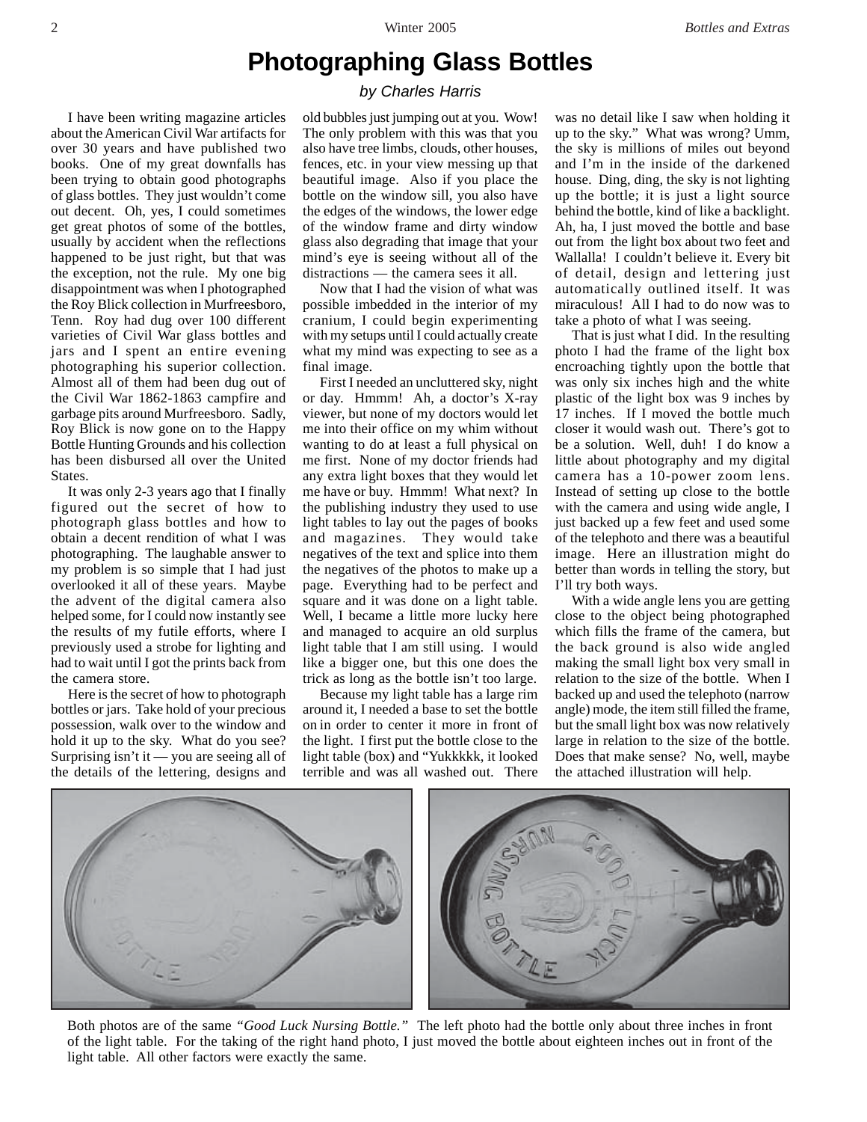## **Photographing Glass Bottles**

## *by Charles Harris*

I have been writing magazine articles about the American Civil War artifacts for over 30 years and have published two books. One of my great downfalls has been trying to obtain good photographs of glass bottles. They just wouldn't come out decent. Oh, yes, I could sometimes get great photos of some of the bottles, usually by accident when the reflections happened to be just right, but that was the exception, not the rule. My one big disappointment was when I photographed the Roy Blick collection in Murfreesboro, Tenn. Roy had dug over 100 different varieties of Civil War glass bottles and jars and I spent an entire evening photographing his superior collection. Almost all of them had been dug out of the Civil War 1862-1863 campfire and garbage pits around Murfreesboro. Sadly, Roy Blick is now gone on to the Happy Bottle Hunting Grounds and his collection has been disbursed all over the United States.

It was only 2-3 years ago that I finally figured out the secret of how to photograph glass bottles and how to obtain a decent rendition of what I was photographing. The laughable answer to my problem is so simple that I had just overlooked it all of these years. Maybe the advent of the digital camera also helped some, for I could now instantly see the results of my futile efforts, where I previously used a strobe for lighting and had to wait until I got the prints back from the camera store.

Here is the secret of how to photograph bottles or jars. Take hold of your precious possession, walk over to the window and hold it up to the sky. What do you see? Surprising isn't it — you are seeing all of the details of the lettering, designs and

old bubbles just jumping out at you. Wow! The only problem with this was that you also have tree limbs, clouds, other houses, fences, etc. in your view messing up that beautiful image. Also if you place the bottle on the window sill, you also have the edges of the windows, the lower edge of the window frame and dirty window glass also degrading that image that your mind's eye is seeing without all of the distractions — the camera sees it all.

Now that I had the vision of what was possible imbedded in the interior of my cranium, I could begin experimenting with my setups until I could actually create what my mind was expecting to see as a final image.

First I needed an uncluttered sky, night or day. Hmmm! Ah, a doctor's X-ray viewer, but none of my doctors would let me into their office on my whim without wanting to do at least a full physical on me first. None of my doctor friends had any extra light boxes that they would let me have or buy. Hmmm! What next? In the publishing industry they used to use light tables to lay out the pages of books and magazines. They would take negatives of the text and splice into them the negatives of the photos to make up a page. Everything had to be perfect and square and it was done on a light table. Well, I became a little more lucky here and managed to acquire an old surplus light table that I am still using. I would like a bigger one, but this one does the trick as long as the bottle isn't too large.

Because my light table has a large rim around it, I needed a base to set the bottle on in order to center it more in front of the light. I first put the bottle close to the light table (box) and "Yukkkkk, it looked terrible and was all washed out. There

was no detail like I saw when holding it up to the sky." What was wrong? Umm, the sky is millions of miles out beyond and I'm in the inside of the darkened house. Ding, ding, the sky is not lighting up the bottle; it is just a light source behind the bottle, kind of like a backlight. Ah, ha, I just moved the bottle and base out from the light box about two feet and Wallalla! I couldn't believe it. Every bit of detail, design and lettering just automatically outlined itself. It was miraculous! All I had to do now was to take a photo of what I was seeing.

That is just what I did. In the resulting photo I had the frame of the light box encroaching tightly upon the bottle that was only six inches high and the white plastic of the light box was 9 inches by 17 inches. If I moved the bottle much closer it would wash out. There's got to be a solution. Well, duh! I do know a little about photography and my digital camera has a 10-power zoom lens. Instead of setting up close to the bottle with the camera and using wide angle, I just backed up a few feet and used some of the telephoto and there was a beautiful image. Here an illustration might do better than words in telling the story, but I'll try both ways.

With a wide angle lens you are getting close to the object being photographed which fills the frame of the camera, but the back ground is also wide angled making the small light box very small in relation to the size of the bottle. When I backed up and used the telephoto (narrow angle) mode, the item still filled the frame, but the small light box was now relatively large in relation to the size of the bottle. Does that make sense? No, well, maybe the attached illustration will help.



Both photos are of the same *"Good Luck Nursing Bottle."* The left photo had the bottle only about three inches in front of the light table. For the taking of the right hand photo, I just moved the bottle about eighteen inches out in front of the light table. All other factors were exactly the same.